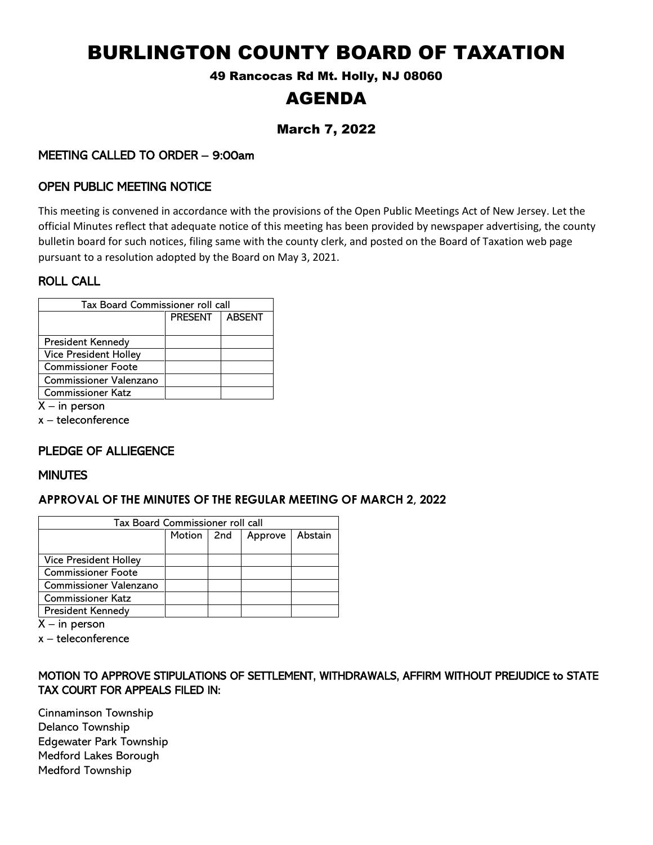# BURLINGTON COUNTY BOARD OF TAXATION

49 Rancocas Rd Mt. Holly, NJ 08060

# AGENDA

# March 7, 2022

# MEETING CALLED TO ORDER – 9:00am

### OPEN PUBLIC MEETING NOTICE

This meeting is convened in accordance with the provisions of the Open Public Meetings Act of New Jersey. Let the official Minutes reflect that adequate notice of this meeting has been provided by newspaper advertising, the county bulletin board for such notices, filing same with the county clerk, and posted on the Board of Taxation web page pursuant to a resolution adopted by the Board on May 3, 2021.

#### ROLL CALL

| Tax Board Commissioner roll call |                |               |  |  |  |
|----------------------------------|----------------|---------------|--|--|--|
|                                  | <b>PRESENT</b> | <b>ABSENT</b> |  |  |  |
|                                  |                |               |  |  |  |
| <b>President Kennedy</b>         |                |               |  |  |  |
| <b>Vice President Holley</b>     |                |               |  |  |  |
| Commissioner Foote               |                |               |  |  |  |
| <b>Commissioner Valenzano</b>    |                |               |  |  |  |
| <b>Commissioner Katz</b>         |                |               |  |  |  |
|                                  |                |               |  |  |  |

 $X - in$  person

x – teleconference

# PLEDGE OF ALLIEGENCE

#### **MINUTES**

#### **APPROVAL OF THE MINUTES OF THE REGULAR MEETING OF MARCH 2, 2022**

| Tax Board Commissioner roll call |              |  |         |         |  |
|----------------------------------|--------------|--|---------|---------|--|
|                                  | Motion   2nd |  | Approve | Abstain |  |
|                                  |              |  |         |         |  |
| <b>Vice President Holley</b>     |              |  |         |         |  |
| <b>Commissioner Foote</b>        |              |  |         |         |  |
| <b>Commissioner Valenzano</b>    |              |  |         |         |  |
| <b>Commissioner Katz</b>         |              |  |         |         |  |
| President Kennedy                |              |  |         |         |  |

 $X - in$  person

x – teleconference

#### MOTION TO APPROVE STIPULATIONS OF SETTLEMENT, WITHDRAWALS, AFFIRM WITHOUT PREJUDICE to STATE TAX COURT FOR APPEALS FILED IN:

Cinnaminson Township Delanco Township Edgewater Park Township Medford Lakes Borough Medford Township